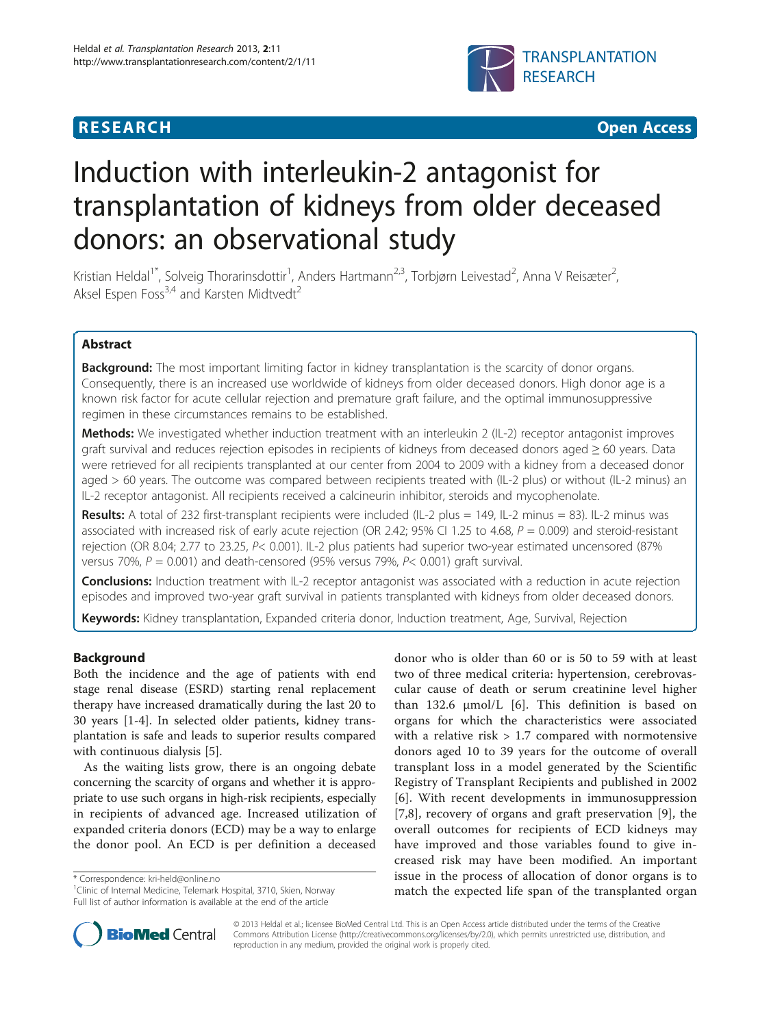

**RESEARCH CHEAR CHEAR CHEAR CHEAR CHEAR CHEAR CHEAR CHEAR CHEAR CHEAR CHEAR CHEAR CHEAR CHEAR CHEAR CHEAR CHEAR** 

# Induction with interleukin-2 antagonist for transplantation of kidneys from older deceased donors: an observational study

Kristian Heldal<sup>1\*</sup>, Solveig Thorarinsdottir<sup>1</sup>, Anders Hartmann<sup>2,3</sup>, Torbjørn Leivestad<sup>2</sup>, Anna V Reisæter<sup>2</sup> , Aksel Espen Foss<sup>3,4</sup> and Karsten Midtvedt<sup>2</sup>

# Abstract

**Background:** The most important limiting factor in kidney transplantation is the scarcity of donor organs. Consequently, there is an increased use worldwide of kidneys from older deceased donors. High donor age is a known risk factor for acute cellular rejection and premature graft failure, and the optimal immunosuppressive regimen in these circumstances remains to be established.

Methods: We investigated whether induction treatment with an interleukin 2 (IL-2) receptor antagonist improves graft survival and reduces rejection episodes in recipients of kidneys from deceased donors aged ≥ 60 years. Data were retrieved for all recipients transplanted at our center from 2004 to 2009 with a kidney from a deceased donor aged > 60 years. The outcome was compared between recipients treated with (IL-2 plus) or without (IL-2 minus) an IL-2 receptor antagonist. All recipients received a calcineurin inhibitor, steroids and mycophenolate.

Results: A total of 232 first-transplant recipients were included (IL-2 plus = 149, IL-2 minus = 83). IL-2 minus was associated with increased risk of early acute rejection (OR 2.42; 95% CI 1.25 to 4.68,  $P = 0.009$ ) and steroid-resistant rejection (OR 8.04; 2.77 to 23.25, P< 0.001). IL-2 plus patients had superior two-year estimated uncensored (87% versus 70%,  $P = 0.001$ ) and death-censored (95% versus 79%,  $P < 0.001$ ) graft survival.

**Conclusions:** Induction treatment with IL-2 receptor antagonist was associated with a reduction in acute rejection episodes and improved two-year graft survival in patients transplanted with kidneys from older deceased donors.

Keywords: Kidney transplantation, Expanded criteria donor, Induction treatment, Age, Survival, Rejection

# Background

Both the incidence and the age of patients with end stage renal disease (ESRD) starting renal replacement therapy have increased dramatically during the last 20 to 30 years [[1-4](#page-7-0)]. In selected older patients, kidney transplantation is safe and leads to superior results compared with continuous dialysis [\[5](#page-7-0)].

As the waiting lists grow, there is an ongoing debate concerning the scarcity of organs and whether it is appropriate to use such organs in high-risk recipients, especially in recipients of advanced age. Increased utilization of expanded criteria donors (ECD) may be a way to enlarge the donor pool. An ECD is per definition a deceased

\* Correspondence: [kri-held@online.no](mailto:kri-held@online.no) <sup>1</sup>

<sup>1</sup> Clinic of Internal Medicine, Telemark Hospital, 3710, Skien, Norway Full list of author information is available at the end of the article

donor who is older than 60 or is 50 to 59 with at least two of three medical criteria: hypertension, cerebrovascular cause of death or serum creatinine level higher than 132.6 μmol/L [\[6](#page-7-0)]. This definition is based on organs for which the characteristics were associated with a relative risk  $> 1.7$  compared with normotensive donors aged 10 to 39 years for the outcome of overall transplant loss in a model generated by the Scientific Registry of Transplant Recipients and published in 2002 [[6](#page-7-0)]. With recent developments in immunosuppression [[7,8](#page-7-0)], recovery of organs and graft preservation [\[9](#page-7-0)], the overall outcomes for recipients of ECD kidneys may have improved and those variables found to give increased risk may have been modified. An important issue in the process of allocation of donor organs is to match the expected life span of the transplanted organ



© 2013 Heldal et al.; licensee BioMed Central Ltd. This is an Open Access article distributed under the terms of the Creative Commons Attribution License [\(http://creativecommons.org/licenses/by/2.0\)](http://creativecommons.org/licenses/by/2.0), which permits unrestricted use, distribution, and reproduction in any medium, provided the original work is properly cited.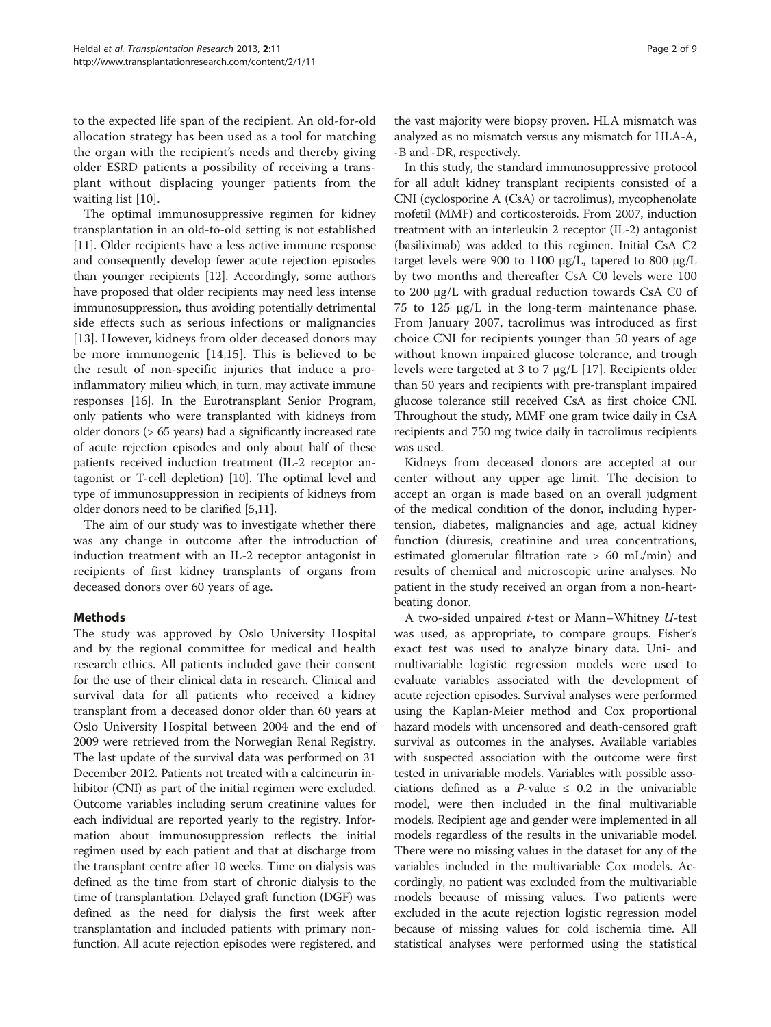to the expected life span of the recipient. An old-for-old allocation strategy has been used as a tool for matching the organ with the recipient's needs and thereby giving older ESRD patients a possibility of receiving a transplant without displacing younger patients from the waiting list [\[10](#page-7-0)].

The optimal immunosuppressive regimen for kidney transplantation in an old-to-old setting is not established [[11](#page-7-0)]. Older recipients have a less active immune response and consequently develop fewer acute rejection episodes than younger recipients [[12](#page-7-0)]. Accordingly, some authors have proposed that older recipients may need less intense immunosuppression, thus avoiding potentially detrimental side effects such as serious infections or malignancies [[13\]](#page-7-0). However, kidneys from older deceased donors may be more immunogenic [[14,15\]](#page-7-0). This is believed to be the result of non-specific injuries that induce a proinflammatory milieu which, in turn, may activate immune responses [\[16\]](#page-7-0). In the Eurotransplant Senior Program, only patients who were transplanted with kidneys from older donors (> 65 years) had a significantly increased rate of acute rejection episodes and only about half of these patients received induction treatment (IL-2 receptor antagonist or T-cell depletion) [[10](#page-7-0)]. The optimal level and type of immunosuppression in recipients of kidneys from older donors need to be clarified [\[5,11\]](#page-7-0).

The aim of our study was to investigate whether there was any change in outcome after the introduction of induction treatment with an IL-2 receptor antagonist in recipients of first kidney transplants of organs from deceased donors over 60 years of age.

# Methods

The study was approved by Oslo University Hospital and by the regional committee for medical and health research ethics. All patients included gave their consent for the use of their clinical data in research. Clinical and survival data for all patients who received a kidney transplant from a deceased donor older than 60 years at Oslo University Hospital between 2004 and the end of 2009 were retrieved from the Norwegian Renal Registry. The last update of the survival data was performed on 31 December 2012. Patients not treated with a calcineurin inhibitor (CNI) as part of the initial regimen were excluded. Outcome variables including serum creatinine values for each individual are reported yearly to the registry. Information about immunosuppression reflects the initial regimen used by each patient and that at discharge from the transplant centre after 10 weeks. Time on dialysis was defined as the time from start of chronic dialysis to the time of transplantation. Delayed graft function (DGF) was defined as the need for dialysis the first week after transplantation and included patients with primary nonfunction. All acute rejection episodes were registered, and

the vast majority were biopsy proven. HLA mismatch was analyzed as no mismatch versus any mismatch for HLA-A, -B and -DR, respectively.

In this study, the standard immunosuppressive protocol for all adult kidney transplant recipients consisted of a CNI (cyclosporine A (CsA) or tacrolimus), mycophenolate mofetil (MMF) and corticosteroids. From 2007, induction treatment with an interleukin 2 receptor (IL-2) antagonist (basiliximab) was added to this regimen. Initial CsA C2 target levels were 900 to 1100 μg/L, tapered to 800 μg/L by two months and thereafter CsA C0 levels were 100 to 200 μg/L with gradual reduction towards CsA C0 of 75 to 125 μg/L in the long-term maintenance phase. From January 2007, tacrolimus was introduced as first choice CNI for recipients younger than 50 years of age without known impaired glucose tolerance, and trough levels were targeted at 3 to 7 μg/L [[17\]](#page-7-0). Recipients older than 50 years and recipients with pre-transplant impaired glucose tolerance still received CsA as first choice CNI. Throughout the study, MMF one gram twice daily in CsA recipients and 750 mg twice daily in tacrolimus recipients was used.

Kidneys from deceased donors are accepted at our center without any upper age limit. The decision to accept an organ is made based on an overall judgment of the medical condition of the donor, including hypertension, diabetes, malignancies and age, actual kidney function (diuresis, creatinine and urea concentrations, estimated glomerular filtration rate > 60 mL/min) and results of chemical and microscopic urine analyses. No patient in the study received an organ from a non-heartbeating donor.

A two-sided unpaired t-test or Mann–Whitney U-test was used, as appropriate, to compare groups. Fisher's exact test was used to analyze binary data. Uni- and multivariable logistic regression models were used to evaluate variables associated with the development of acute rejection episodes. Survival analyses were performed using the Kaplan-Meier method and Cox proportional hazard models with uncensored and death-censored graft survival as outcomes in the analyses. Available variables with suspected association with the outcome were first tested in univariable models. Variables with possible associations defined as a *P*-value  $\leq$  0.2 in the univariable model, were then included in the final multivariable models. Recipient age and gender were implemented in all models regardless of the results in the univariable model. There were no missing values in the dataset for any of the variables included in the multivariable Cox models. Accordingly, no patient was excluded from the multivariable models because of missing values. Two patients were excluded in the acute rejection logistic regression model because of missing values for cold ischemia time. All statistical analyses were performed using the statistical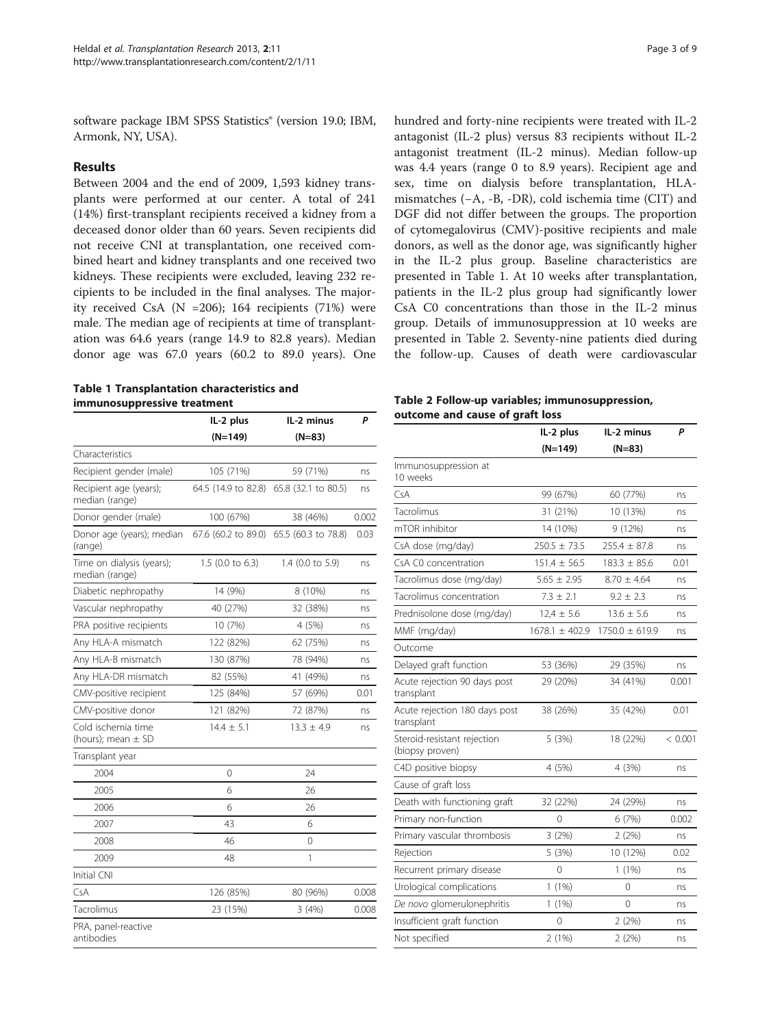<span id="page-2-0"></span>software package IBM SPSS Statistics® (version 19.0; IBM, Armonk, NY, USA).

# Results

Between 2004 and the end of 2009, 1,593 kidney transplants were performed at our center. A total of 241 (14%) first-transplant recipients received a kidney from a deceased donor older than 60 years. Seven recipients did not receive CNI at transplantation, one received combined heart and kidney transplants and one received two kidneys. These recipients were excluded, leaving 232 recipients to be included in the final analyses. The majority received CsA  $(N = 206)$ ; 164 recipients  $(71%)$  were male. The median age of recipients at time of transplantation was 64.6 years (range 14.9 to 82.8 years). Median donor age was 67.0 years (60.2 to 89.0 years). One

| <b>Table 1 Transplantation characteristics and</b> |  |
|----------------------------------------------------|--|
| immunosuppressive treatment                        |  |

|                                              | IL-2 plus           | IL-2 minus          | Ρ     |
|----------------------------------------------|---------------------|---------------------|-------|
|                                              | $(N=149)$           | (N=83)              |       |
| Characteristics                              |                     |                     |       |
| Recipient gender (male)                      | 105 (71%)           | 59 (71%)            | ns    |
| Recipient age (years);<br>median (range)     | 64.5 (14.9 to 82.8) | 65.8 (32.1 to 80.5) | ns    |
| Donor gender (male)                          | 100 (67%)           | 38 (46%)            | 0.002 |
| Donor age (years); median<br>(range)         | 67.6 (60.2 to 89.0) | 65.5 (60.3 to 78.8) | 0.03  |
| Time on dialysis (years);<br>median (range)  | $1.5$ (0.0 to 6.3)  | 1.4 (0.0 to 5.9)    | ns    |
| Diabetic nephropathy                         | 14 (9%)             | 8 (10%)             | ns    |
| Vascular nephropathy                         | 40 (27%)            | 32 (38%)            | ns    |
| PRA positive recipients                      | 10 (7%)             | 4 (5%)              | ns    |
| Any HLA-A mismatch                           | 122 (82%)           | 62 (75%)            | ns    |
| Any HLA-B mismatch                           | 130 (87%)           | 78 (94%)            | ns    |
| Any HLA-DR mismatch                          | 82 (55%)            | 41 (49%)            | ns    |
| CMV-positive recipient                       | 125 (84%)           | 57 (69%)            | 0.01  |
| CMV-positive donor                           | 121 (82%)           | 72 (87%)            | ns    |
| Cold ischemia time<br>(hours); mean $\pm$ SD | $14.4 \pm 5.1$      | $13.3 \pm 4.9$      | ns    |
| Transplant year                              |                     |                     |       |
| 2004                                         | 0                   | 24                  |       |
| 2005                                         | 6                   | 26                  |       |
| 2006                                         | 6                   | 26                  |       |
| 2007                                         | 43                  | 6                   |       |
| 2008                                         | 46                  | 0                   |       |
| 2009                                         | 48                  | 1                   |       |
| Initial CNI                                  |                     |                     |       |
| CsA                                          | 126 (85%)           | 80 (96%)            | 0.008 |
| Tacrolimus                                   | 23 (15%)            | 3(4%)               | 0.008 |
| PRA, panel-reactive<br>antibodies            |                     |                     |       |

hundred and forty-nine recipients were treated with IL-2 antagonist (IL-2 plus) versus 83 recipients without IL-2 antagonist treatment (IL-2 minus). Median follow-up was 4.4 years (range 0 to 8.9 years). Recipient age and sex, time on dialysis before transplantation, HLAmismatches (−A, -B, -DR), cold ischemia time (CIT) and DGF did not differ between the groups. The proportion of cytomegalovirus (CMV)-positive recipients and male donors, as well as the donor age, was significantly higher in the IL-2 plus group. Baseline characteristics are presented in Table 1. At 10 weeks after transplantation, patients in the IL-2 plus group had significantly lower CsA C0 concentrations than those in the IL-2 minus group. Details of immunosuppression at 10 weeks are presented in Table 2. Seventy-nine patients died during the follow-up. Causes of death were cardiovascular

| Table 2 Follow-up variables; immunosuppression, |  |
|-------------------------------------------------|--|
| outcome and cause of graft loss                 |  |

|                                                | IL-2 plus          | IL-2 minus         | P       |
|------------------------------------------------|--------------------|--------------------|---------|
|                                                | (N=149)            | $(N=83)$           |         |
| Immunosuppression at<br>10 weeks               |                    |                    |         |
| CsA                                            | 99 (67%)           | 60 (77%)           | ns      |
| Tacrolimus                                     | 31 (21%)           | 10 (13%)           | ns      |
| mTOR inhibitor                                 | 14 (10%)           | 9 (12%)            | ns      |
| CsA dose (mg/day)                              | $250.5 \pm 73.5$   | $255.4 \pm 87.8$   | ns      |
| CsA C0 concentration                           | $151.4 \pm 56.5$   | $183.3 \pm 85.6$   | 0.01    |
| Tacrolimus dose (mg/day)                       | $5.65 \pm 2.95$    | $8.70 \pm 4.64$    | ns      |
| Tacrolimus concentration                       | $7.3 + 2.1$        | $9.2 \pm 2.3$      | ns      |
| Prednisolone dose (mg/day)                     | $12.4 \pm 5.6$     | $13.6 \pm 5.6$     | ns      |
| MMF (mg/day)                                   | $1678.1 \pm 402.9$ | $1750.0 \pm 619.9$ | ns      |
| Outcome                                        |                    |                    |         |
| Delayed graft function                         | 53 (36%)           | 29 (35%)           | ns      |
| Acute rejection 90 days post<br>transplant     | 29 (20%)           | 34 (41%)           | 0.001   |
| Acute rejection 180 days post<br>transplant    | 38 (26%)           | 35 (42%)           | 0.01    |
| Steroid-resistant rejection<br>(biopsy proven) | 5 (3%)             | 18 (22%)           | < 0.001 |
| C4D positive biopsy                            | 4 (5%)             | 4 (3%)             | ns      |
| Cause of graft loss                            |                    |                    |         |
| Death with functioning graft                   | 32 (22%)           | 24 (29%)           | ns      |
| Primary non-function                           | 0                  | 6(7%)              | 0.002   |
| Primary vascular thrombosis                    | 3(2%)              | 2(2%)              | ns      |
| Rejection                                      | 5 (3%)             | 10 (12%)           | 0.02    |
| Recurrent primary disease                      | 0                  | 1(1%)              | ns      |
| Urological complications                       | 1(1%)              | 0                  | ns      |
| De novo glomerulonephritis                     | 1(1%)              | $\Omega$           | ns      |
| Insufficient graft function                    | 0                  | 2(2%)              | ns      |
| Not specified                                  | 2(1%)              | 2(2%)              | ns      |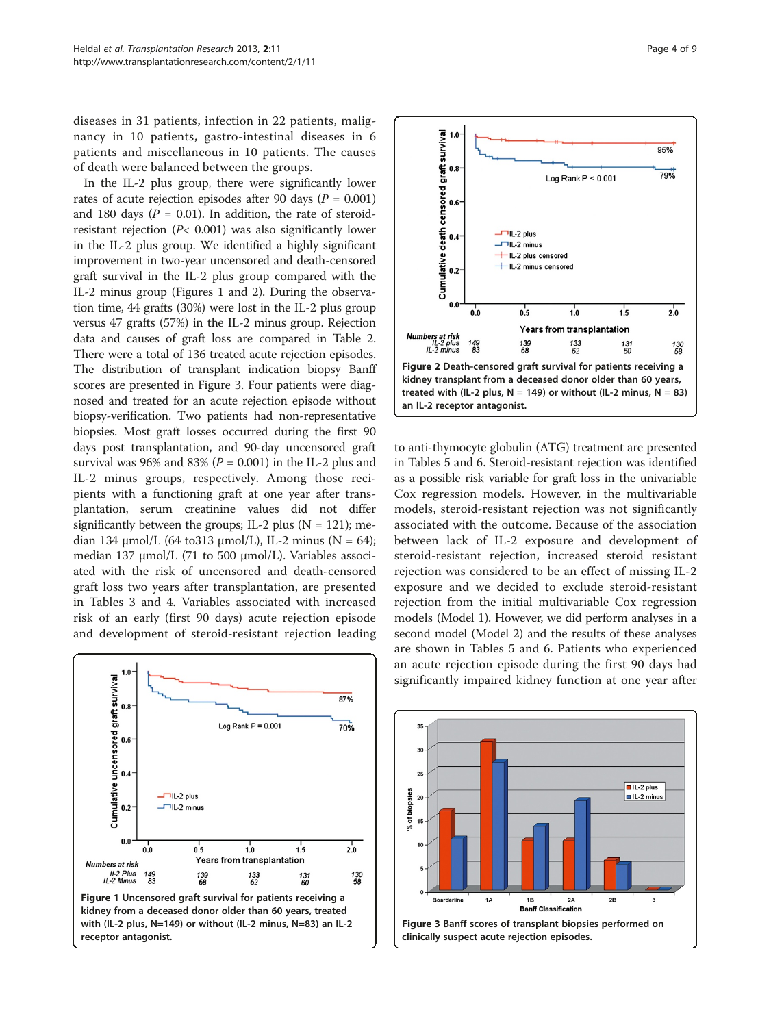diseases in 31 patients, infection in 22 patients, malignancy in 10 patients, gastro-intestinal diseases in 6 patients and miscellaneous in 10 patients. The causes of death were balanced between the groups.

In the IL-2 plus group, there were significantly lower rates of acute rejection episodes after 90 days ( $P = 0.001$ ) and 180 days ( $P = 0.01$ ). In addition, the rate of steroidresistant rejection (P< 0.001) was also significantly lower in the IL-2 plus group. We identified a highly significant improvement in two-year uncensored and death-censored graft survival in the IL-2 plus group compared with the IL-2 minus group (Figures 1 and 2). During the observation time, 44 grafts (30%) were lost in the IL-2 plus group versus 47 grafts (57%) in the IL-2 minus group. Rejection data and causes of graft loss are compared in Table [2](#page-2-0). There were a total of 136 treated acute rejection episodes. The distribution of transplant indication biopsy Banff scores are presented in Figure 3. Four patients were diagnosed and treated for an acute rejection episode without biopsy-verification. Two patients had non-representative biopsies. Most graft losses occurred during the first 90 days post transplantation, and 90-day uncensored graft survival was 96% and 83% ( $P = 0.001$ ) in the IL-2 plus and IL-2 minus groups, respectively. Among those recipients with a functioning graft at one year after transplantation, serum creatinine values did not differ significantly between the groups; IL-2 plus ( $N = 121$ ); median 134 μmol/L (64 to 313 μmol/L), IL-2 minus (N = 64); median 137 μmol/L (71 to 500 μmol/L). Variables associated with the risk of uncensored and death-censored graft loss two years after transplantation, are presented in Tables [3](#page-4-0) and [4.](#page-4-0) Variables associated with increased risk of an early (first 90 days) acute rejection episode and development of steroid-resistant rejection leading





to anti-thymocyte globulin (ATG) treatment are presented in Tables [5](#page-5-0) and [6](#page-5-0). Steroid-resistant rejection was identified as a possible risk variable for graft loss in the univariable Cox regression models. However, in the multivariable models, steroid-resistant rejection was not significantly associated with the outcome. Because of the association between lack of IL-2 exposure and development of steroid-resistant rejection, increased steroid resistant rejection was considered to be an effect of missing IL-2 exposure and we decided to exclude steroid-resistant rejection from the initial multivariable Cox regression models (Model 1). However, we did perform analyses in a second model (Model 2) and the results of these analyses are shown in Tables [5](#page-5-0) and [6](#page-5-0). Patients who experienced an acute rejection episode during the first 90 days had significantly impaired kidney function at one year after

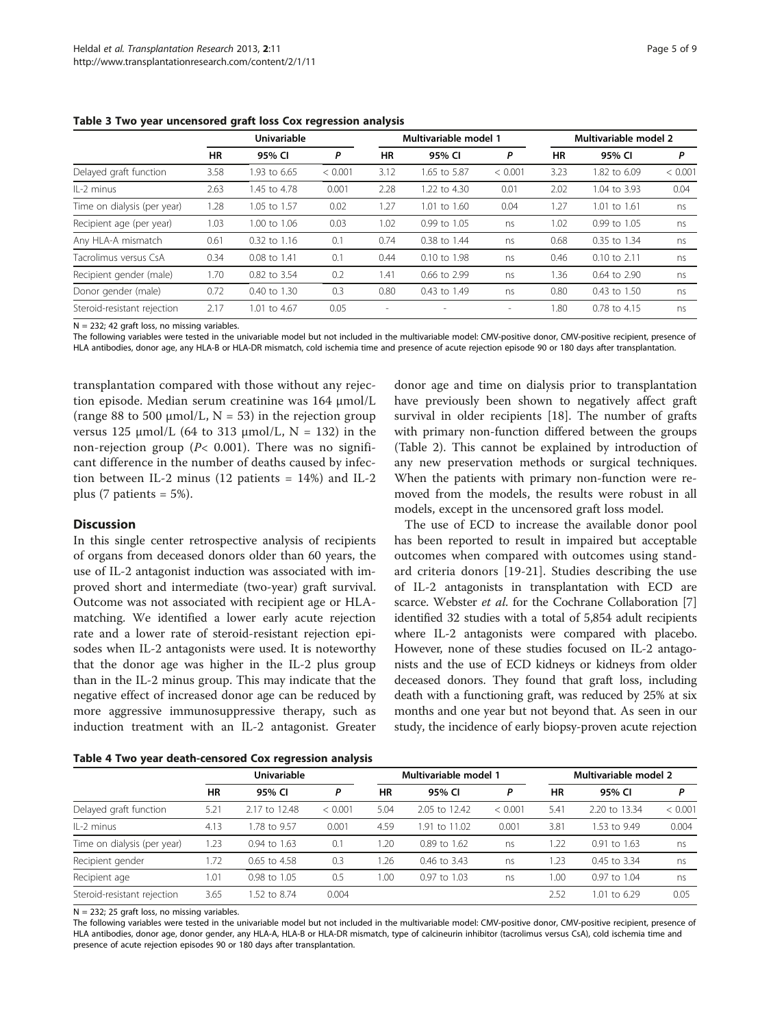<span id="page-4-0"></span>

|                             | <b>Univariable</b> |              |         |      | Multivariable model 1 |         |           | Multivariable model 2 |         |  |
|-----------------------------|--------------------|--------------|---------|------|-----------------------|---------|-----------|-----------------------|---------|--|
|                             | <b>HR</b>          | 95% CI       | P       | HR   | 95% CI                | P       | <b>HR</b> | 95% CI                | P       |  |
| Delayed graft function      | 3.58               | .93 to 6.65  | < 0.001 | 3.12 | 1.65 to 5.87          | < 0.001 | 3.23      | 1.82 to 6.09          | < 0.001 |  |
| IL-2 minus                  | 2.63               | 1.45 to 4.78 | 0.001   | 2.28 | 1.22 to 4.30          | 0.01    | 2.02      | 1.04 to 3.93          | 0.04    |  |
| Time on dialysis (per year) | 1.28               | 1.05 to 1.57 | 0.02    | 1.27 | 1.01 to 1.60          | 0.04    | 1.27      | 1.01 to 1.61          | ns      |  |
| Recipient age (per year)    | 1.03               | 1.00 to 1.06 | 0.03    | 1.02 | 0.99 to 1.05          | ns      | 1.02      | 0.99 to 1.05          | ns      |  |
| Any HLA-A mismatch          | 0.61               | 0.32 to 1.16 | 0.1     | 0.74 | 0.38 to 1.44          | ns      | 0.68      | 0.35 to 1.34          | ns      |  |
| Tacrolimus versus CsA       | 0.34               | 0.08 to 1.41 | 0.1     | 0.44 | 0.10 to 1.98          | ns      | 0.46      | 0.10 to 2.11          | ns      |  |
| Recipient gender (male)     | 1.70               | 0.82 to 3.54 | 0.2     | 1.41 | 0.66 to 2.99          | ns      | 1.36      | 0.64 to 2.90          | ns      |  |
| Donor gender (male)         | 0.72               | 0.40 to 1.30 | 0.3     | 0.80 | 0.43 to 1.49          | ns      | 0.80      | 0.43 to 1.50          | ns      |  |
| Steroid-resistant rejection | 2.17               | 1.01 to 4.67 | 0.05    |      |                       | ۰       | 1.80      | 0.78 to 4.15          | ns      |  |

 $N = 232$ ; 42 graft loss, no missing variables.

The following variables were tested in the univariable model but not included in the multivariable model: CMV-positive donor, CMV-positive recipient, presence of HLA antibodies, donor age, any HLA-B or HLA-DR mismatch, cold ischemia time and presence of acute rejection episode 90 or 180 days after transplantation.

transplantation compared with those without any rejection episode. Median serum creatinine was 164 μmol/L (range 88 to 500  $\mu$ mol/L, N = 53) in the rejection group versus 125  $\mu$ mol/L (64 to 313  $\mu$ mol/L, N = 132) in the non-rejection group ( $P<$  0.001). There was no significant difference in the number of deaths caused by infection between IL-2 minus (12 patients = 14%) and IL-2 plus (7 patients = 5%).

# **Discussion**

In this single center retrospective analysis of recipients of organs from deceased donors older than 60 years, the use of IL-2 antagonist induction was associated with improved short and intermediate (two-year) graft survival. Outcome was not associated with recipient age or HLAmatching. We identified a lower early acute rejection rate and a lower rate of steroid-resistant rejection episodes when IL-2 antagonists were used. It is noteworthy that the donor age was higher in the IL-2 plus group than in the IL-2 minus group. This may indicate that the negative effect of increased donor age can be reduced by more aggressive immunosuppressive therapy, such as induction treatment with an IL-2 antagonist. Greater

donor age and time on dialysis prior to transplantation have previously been shown to negatively affect graft survival in older recipients [\[18](#page-7-0)]. The number of grafts with primary non-function differed between the groups (Table [2](#page-2-0)). This cannot be explained by introduction of any new preservation methods or surgical techniques. When the patients with primary non-function were removed from the models, the results were robust in all models, except in the uncensored graft loss model.

The use of ECD to increase the available donor pool has been reported to result in impaired but acceptable outcomes when compared with outcomes using standard criteria donors [[19-21](#page-7-0)]. Studies describing the use of IL-2 antagonists in transplantation with ECD are scarce. Webster et al. for the Cochrane Collaboration [[7](#page-7-0)] identified 32 studies with a total of 5,854 adult recipients where IL-2 antagonists were compared with placebo. However, none of these studies focused on IL-2 antagonists and the use of ECD kidneys or kidneys from older deceased donors. They found that graft loss, including death with a functioning graft, was reduced by 25% at six months and one year but not beyond that. As seen in our study, the incidence of early biopsy-proven acute rejection

|  |  |  | Table 4 Two year death-censored Cox regression analysis |  |
|--|--|--|---------------------------------------------------------|--|
|  |  |  |                                                         |  |

|                             | Univariable |                  |         |      | Multivariable model 1 |         |      | Multivariable model 2 |         |  |
|-----------------------------|-------------|------------------|---------|------|-----------------------|---------|------|-----------------------|---------|--|
|                             | <b>HR</b>   | 95% CI           | P       | ΗR   | 95% CI                | P       | HR   | 95% CI                | D       |  |
| Delayed graft function      | 5.21        | 2.17 to 12.48    | < 0.001 | 5.04 | 2.05 to 12.42         | < 0.001 | 5.41 | 2.20 to 13.34         | < 0.001 |  |
| IL-2 minus                  | 4.13        | .78 to 9.57      | 0.001   | 4.59 | 1.91 to 11.02         | 0.001   | 3.81 | 1.53 to 9.49          | 0.004   |  |
| Time on dialysis (per year) | 1.23        | $0.94$ to $1.63$ | 0.1     | 1.20 | 0.89 to 1.62          | ns      | 1.22 | 0.91 to 1.63          | ns      |  |
| Recipient gender            | 1.72        | 0.65 to 4.58     | 0.3     | 1.26 | 0.46 to 3.43          | ns      | 1.23 | 0.45 to 3.34          | ns      |  |
| Recipient age               | 1.01        | 0.98 to 1.05     | 0.5     | 1.00 | $0.97$ to $1.03$      | ns      | 1.00 | $0.97$ to $1.04$      | ns      |  |
| Steroid-resistant rejection | 3.65        | 1.52 to 8.74     | 0.004   |      |                       |         | 2.52 | 1.01 to 6.29          | 0.05    |  |

 $N = 232$ ; 25 graft loss, no missing variables.

The following variables were tested in the univariable model but not included in the multivariable model: CMV-positive donor, CMV-positive recipient, presence of HLA antibodies, donor age, donor gender, any HLA-A, HLA-B or HLA-DR mismatch, type of calcineurin inhibitor (tacrolimus versus CsA), cold ischemia time and presence of acute rejection episodes 90 or 180 days after transplantation.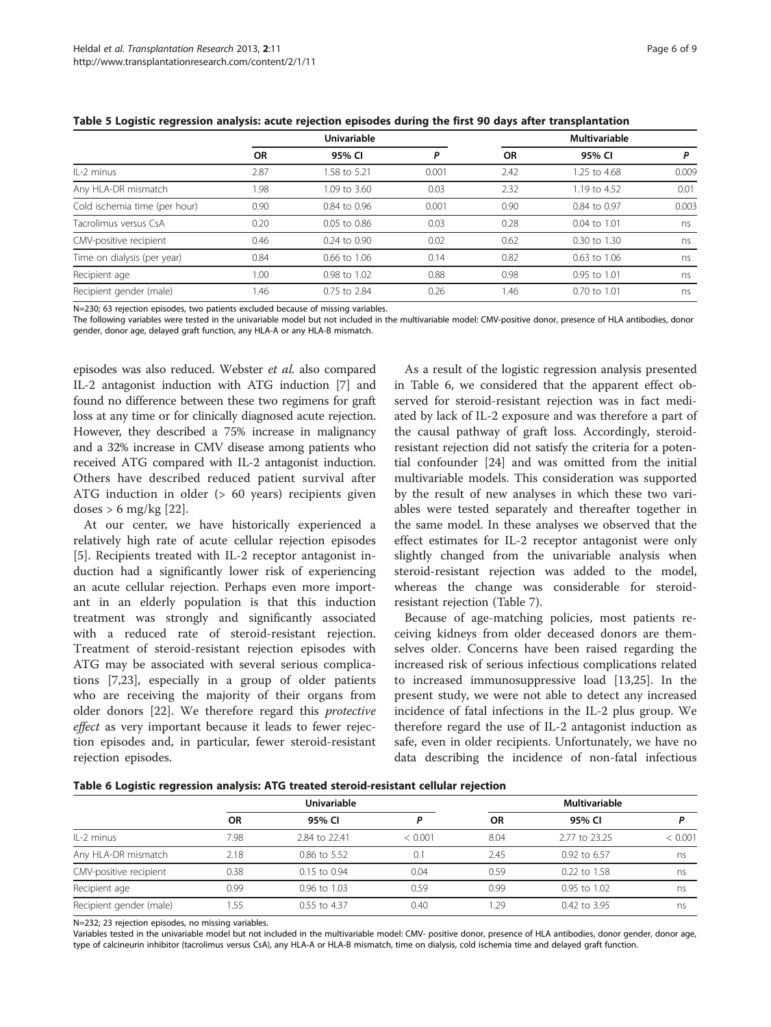|                               |      | Univariable      |       |           | <b>Multivariable</b> |       |
|-------------------------------|------|------------------|-------|-----------|----------------------|-------|
|                               | ΟR   | 95% CI           | P     | <b>OR</b> | 95% CI               | Р     |
| IL-2 minus                    | 2.87 | 1.58 to 5.21     | 0.001 | 2.42      | 1.25 to 4.68         | 0.009 |
| Any HLA-DR mismatch           | 1.98 | 1.09 to 3.60     | 0.03  | 2.32      | 1.19 to 4.52         | 0.01  |
| Cold ischemia time (per hour) | 0.90 | 0.84 to 0.96     | 0.001 | 0.90      | 0.84 to 0.97         | 0.003 |
| Tacrolimus versus CsA         | 0.20 | $0.05$ to 0.86   | 0.03  | 0.28      | $0.04$ to $1.01$     | ns    |
| CMV-positive recipient        | 0.46 | 0.24 to 0.90     | 0.02  | 0.62      | 0.30 to 1.30         | ns    |
| Time on dialysis (per year)   | 0.84 | $0.66$ to $1.06$ | 0.14  | 0.82      | $0.63$ to $1.06$     | ns    |

<span id="page-5-0"></span>Table 5 Logistic regression analysis: acute rejection episodes during the first 90 days after transplantation

N=230; 63 rejection episodes, two patients excluded because of missing variables.

The following variables were tested in the univariable model but not included in the multivariable model: CMV-positive donor, presence of HLA antibodies, donor gender, donor age, delayed graft function, any HLA-A or any HLA-B mismatch.

Recipient age 1.00 1.00 0.98 to 1.02 0.88 0.98 0.98 0.95 to 1.01 ns Recipient gender (male) 1.46 0.75 to 2.84 0.26 1.46 0.70 to 1.01 ns

episodes was also reduced. Webster et al. also compared IL-2 antagonist induction with ATG induction [[7](#page-7-0)] and found no difference between these two regimens for graft loss at any time or for clinically diagnosed acute rejection. However, they described a 75% increase in malignancy and a 32% increase in CMV disease among patients who received ATG compared with IL-2 antagonist induction. Others have described reduced patient survival after ATG induction in older (> 60 years) recipients given  $doses > 6$  mg/kg [\[22](#page-7-0)].

At our center, we have historically experienced a relatively high rate of acute cellular rejection episodes [[5\]](#page-7-0). Recipients treated with IL-2 receptor antagonist induction had a significantly lower risk of experiencing an acute cellular rejection. Perhaps even more important in an elderly population is that this induction treatment was strongly and significantly associated with a reduced rate of steroid-resistant rejection. Treatment of steroid-resistant rejection episodes with ATG may be associated with several serious complications [\[7,23](#page-7-0)], especially in a group of older patients who are receiving the majority of their organs from older donors [\[22](#page-7-0)]. We therefore regard this protective effect as very important because it leads to fewer rejection episodes and, in particular, fewer steroid-resistant rejection episodes.

As a result of the logistic regression analysis presented in Table 6, we considered that the apparent effect observed for steroid-resistant rejection was in fact mediated by lack of IL-2 exposure and was therefore a part of the causal pathway of graft loss. Accordingly, steroidresistant rejection did not satisfy the criteria for a potential confounder [[24](#page-7-0)] and was omitted from the initial multivariable models. This consideration was supported by the result of new analyses in which these two variables were tested separately and thereafter together in the same model. In these analyses we observed that the effect estimates for IL-2 receptor antagonist were only slightly changed from the univariable analysis when steroid-resistant rejection was added to the model, whereas the change was considerable for steroidresistant rejection (Table [7\)](#page-6-0).

Because of age-matching policies, most patients receiving kidneys from older deceased donors are themselves older. Concerns have been raised regarding the increased risk of serious infectious complications related to increased immunosuppressive load [[13,25](#page-7-0)]. In the present study, we were not able to detect any increased incidence of fatal infections in the IL-2 plus group. We therefore regard the use of IL-2 antagonist induction as safe, even in older recipients. Unfortunately, we have no data describing the incidence of non-fatal infectious

Table 6 Logistic regression analysis: ATG treated steroid-resistant cellular rejection

|                         |           | Univariable   |         |           | Multivariable    |         |
|-------------------------|-----------|---------------|---------|-----------|------------------|---------|
|                         | <b>OR</b> | 95% CI        |         | <b>OR</b> | 95% CI           |         |
| IL-2 minus              | 7.98      | 2.84 to 22.41 | < 0.001 | 8.04      | 2.77 to 23.25    | < 0.001 |
| Any HLA-DR mismatch     | 2.18      | 0.86 to 5.52  | 0.1     | 2.45      | 0.92 to 6.57     | ns      |
| CMV-positive recipient  | 0.38      | 0.15 to 0.94  | 0.04    | 0.59      | $0.22$ to $1.58$ | ns      |
| Recipient age           | 0.99      | 0.96 to 1.03  | 0.59    | 0.99      | $0.95$ to $1.02$ | ns      |
| Recipient gender (male) | 55        | 0.55 to 4.37  | 0.40    | .29       | 0.42 to 3.95     | ns      |

N=232; 23 rejection episodes, no missing variables.

Variables tested in the univariable model but not included in the multivariable model: CMV- positive donor, presence of HLA antibodies, donor gender, donor age, type of calcineurin inhibitor (tacrolimus versus CsA), any HLA-A or HLA-B mismatch, time on dialysis, cold ischemia time and delayed graft function.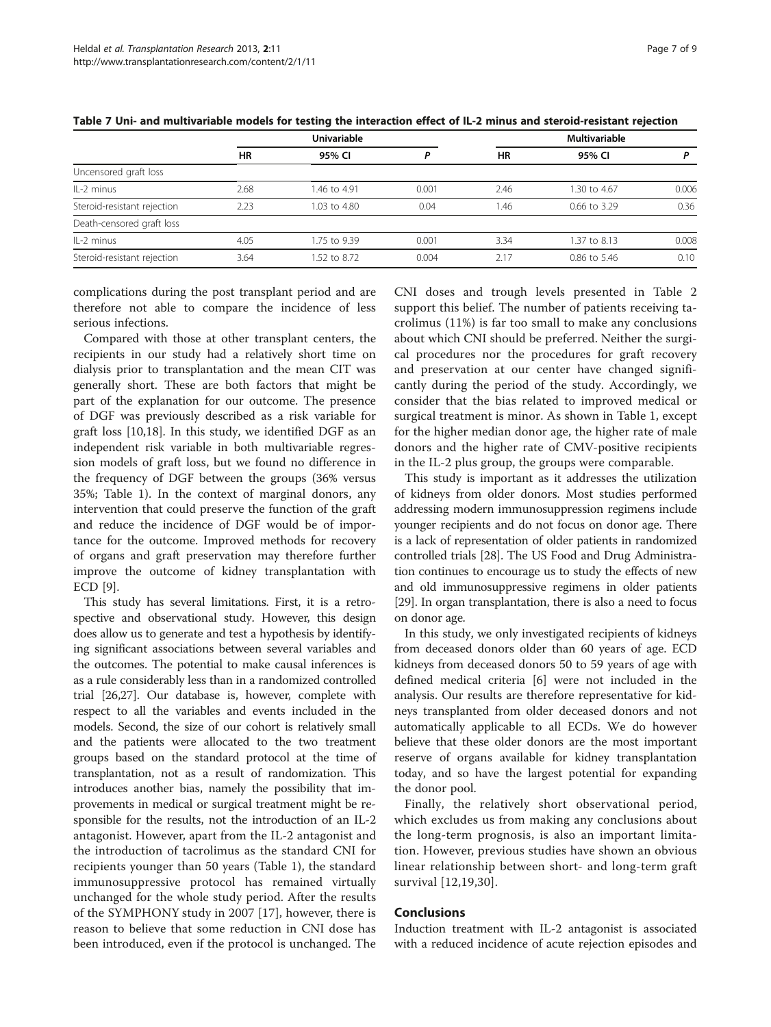|                             | <b>Univariable</b> |              |       |           | <b>Multivariable</b> |       |
|-----------------------------|--------------------|--------------|-------|-----------|----------------------|-------|
|                             | <b>HR</b>          | 95% CI       | P     | <b>HR</b> | 95% CI               | P     |
| Uncensored graft loss       |                    |              |       |           |                      |       |
| IL-2 minus                  | 2.68               | 1.46 to 4.91 | 0.001 | 2.46      | 1.30 to 4.67         | 0.006 |
| Steroid-resistant rejection | 2.23               | 1.03 to 4.80 | 0.04  | 1.46      | 0.66 to 3.29         | 0.36  |
| Death-censored graft loss   |                    |              |       |           |                      |       |
| IL-2 minus                  | 4.05               | 1.75 to 9.39 | 0.001 | 3.34      | 1.37 to 8.13         | 0.008 |
| Steroid-resistant rejection | 3.64               | 1.52 to 8.72 | 0.004 | 2.17      | $0.86$ to 5.46       | 0.10  |

<span id="page-6-0"></span>Table 7 Uni- and multivariable models for testing the interaction effect of IL-2 minus and steroid-resistant rejection

complications during the post transplant period and are therefore not able to compare the incidence of less serious infections.

Compared with those at other transplant centers, the recipients in our study had a relatively short time on dialysis prior to transplantation and the mean CIT was generally short. These are both factors that might be part of the explanation for our outcome. The presence of DGF was previously described as a risk variable for graft loss [[10,18\]](#page-7-0). In this study, we identified DGF as an independent risk variable in both multivariable regression models of graft loss, but we found no difference in the frequency of DGF between the groups (36% versus 35%; Table [1\)](#page-2-0). In the context of marginal donors, any intervention that could preserve the function of the graft and reduce the incidence of DGF would be of importance for the outcome. Improved methods for recovery of organs and graft preservation may therefore further improve the outcome of kidney transplantation with ECD [\[9](#page-7-0)].

This study has several limitations. First, it is a retrospective and observational study. However, this design does allow us to generate and test a hypothesis by identifying significant associations between several variables and the outcomes. The potential to make causal inferences is as a rule considerably less than in a randomized controlled trial [\[26,27\]](#page-7-0). Our database is, however, complete with respect to all the variables and events included in the models. Second, the size of our cohort is relatively small and the patients were allocated to the two treatment groups based on the standard protocol at the time of transplantation, not as a result of randomization. This introduces another bias, namely the possibility that improvements in medical or surgical treatment might be responsible for the results, not the introduction of an IL-2 antagonist. However, apart from the IL-2 antagonist and the introduction of tacrolimus as the standard CNI for recipients younger than 50 years (Table [1\)](#page-2-0), the standard immunosuppressive protocol has remained virtually unchanged for the whole study period. After the results of the SYMPHONY study in 2007 [[17\]](#page-7-0), however, there is reason to believe that some reduction in CNI dose has been introduced, even if the protocol is unchanged. The

CNI doses and trough levels presented in Table [2](#page-2-0) support this belief. The number of patients receiving tacrolimus (11%) is far too small to make any conclusions about which CNI should be preferred. Neither the surgical procedures nor the procedures for graft recovery and preservation at our center have changed significantly during the period of the study. Accordingly, we consider that the bias related to improved medical or surgical treatment is minor. As shown in Table [1,](#page-2-0) except for the higher median donor age, the higher rate of male donors and the higher rate of CMV-positive recipients in the IL-2 plus group, the groups were comparable.

This study is important as it addresses the utilization of kidneys from older donors. Most studies performed addressing modern immunosuppression regimens include younger recipients and do not focus on donor age. There is a lack of representation of older patients in randomized controlled trials [\[28\]](#page-8-0). The US Food and Drug Administration continues to encourage us to study the effects of new and old immunosuppressive regimens in older patients [[29](#page-8-0)]. In organ transplantation, there is also a need to focus on donor age.

In this study, we only investigated recipients of kidneys from deceased donors older than 60 years of age. ECD kidneys from deceased donors 50 to 59 years of age with defined medical criteria [[6\]](#page-7-0) were not included in the analysis. Our results are therefore representative for kidneys transplanted from older deceased donors and not automatically applicable to all ECDs. We do however believe that these older donors are the most important reserve of organs available for kidney transplantation today, and so have the largest potential for expanding the donor pool.

Finally, the relatively short observational period, which excludes us from making any conclusions about the long-term prognosis, is also an important limitation. However, previous studies have shown an obvious linear relationship between short- and long-term graft survival [[12,19,](#page-7-0)[30](#page-8-0)].

# Conclusions

Induction treatment with IL-2 antagonist is associated with a reduced incidence of acute rejection episodes and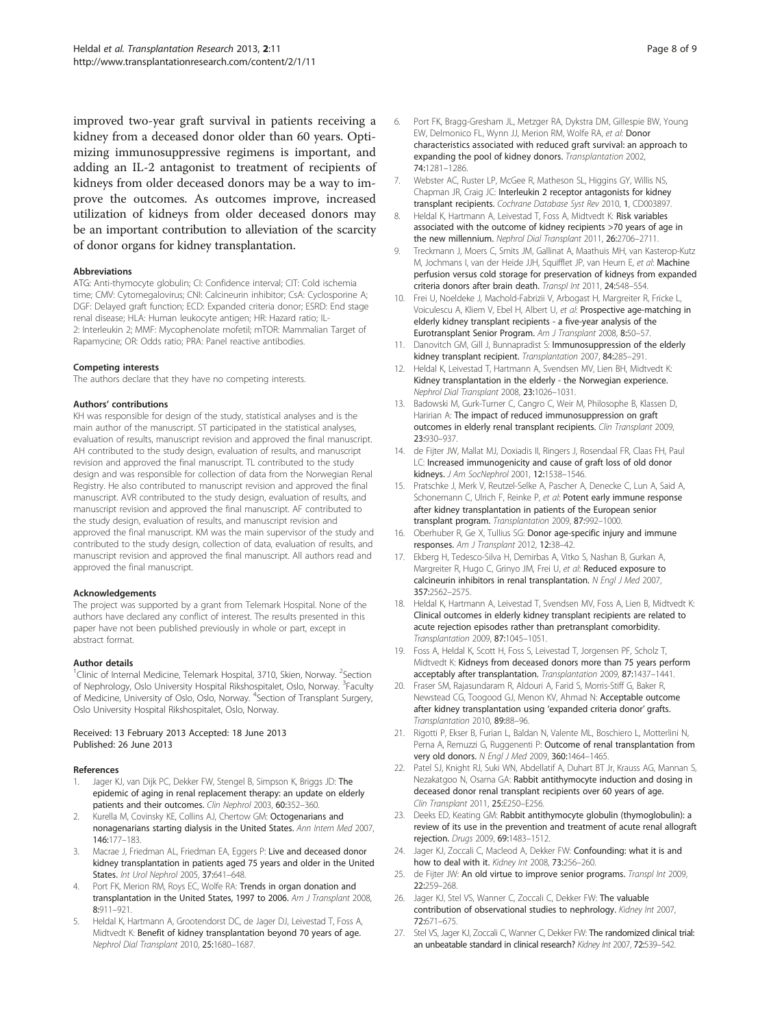<span id="page-7-0"></span>improved two-year graft survival in patients receiving a kidney from a deceased donor older than 60 years. Optimizing immunosuppressive regimens is important, and adding an IL-2 antagonist to treatment of recipients of kidneys from older deceased donors may be a way to improve the outcomes. As outcomes improve, increased utilization of kidneys from older deceased donors may be an important contribution to alleviation of the scarcity of donor organs for kidney transplantation.

#### Abbreviations

ATG: Anti-thymocyte globulin; CI: Confidence interval; CIT: Cold ischemia time; CMV: Cytomegalovirus; CNI: Calcineurin inhibitor; CsA: Cyclosporine A; DGF: Delayed graft function; ECD: Expanded criteria donor; ESRD: End stage renal disease; HLA: Human leukocyte antigen; HR: Hazard ratio; IL-2: Interleukin 2; MMF: Mycophenolate mofetil; mTOR: Mammalian Target of Rapamycine; OR: Odds ratio; PRA: Panel reactive antibodies.

#### Competing interests

The authors declare that they have no competing interests.

#### Authors' contributions

KH was responsible for design of the study, statistical analyses and is the main author of the manuscript. ST participated in the statistical analyses, evaluation of results, manuscript revision and approved the final manuscript. AH contributed to the study design, evaluation of results, and manuscript revision and approved the final manuscript. TL contributed to the study design and was responsible for collection of data from the Norwegian Renal Registry. He also contributed to manuscript revision and approved the final manuscript. AVR contributed to the study design, evaluation of results, and manuscript revision and approved the final manuscript. AF contributed to the study design, evaluation of results, and manuscript revision and approved the final manuscript. KM was the main supervisor of the study and contributed to the study design, collection of data, evaluation of results, and manuscript revision and approved the final manuscript. All authors read and approved the final manuscript.

#### Acknowledgements

The project was supported by a grant from Telemark Hospital. None of the authors have declared any conflict of interest. The results presented in this paper have not been published previously in whole or part, except in abstract format.

#### Author details

<sup>1</sup>Clinic of Internal Medicine, Telemark Hospital, 3710, Skien, Norway. <sup>2</sup>Section of Nephrology, Oslo University Hospital Rikshospitalet, Oslo, Norway. <sup>3</sup>Faculty of Medicine, University of Oslo, Oslo, Norway. <sup>4</sup>Section of Transplant Surgery, Oslo University Hospital Rikshospitalet, Oslo, Norway.

#### Received: 13 February 2013 Accepted: 18 June 2013 Published: 26 June 2013

### References

- 1. Jager KJ, van Dijk PC, Dekker FW, Stengel B, Simpson K, Briggs JD: The epidemic of aging in renal replacement therapy: an update on elderly patients and their outcomes. Clin Nephrol 2003, 60:352–360.
- 2. Kurella M, Covinsky KE, Collins AJ, Chertow GM: Octogenarians and nonagenarians starting dialysis in the United States. Ann Intern Med 2007, 146:177–183.
- 3. Macrae J, Friedman AL, Friedman EA, Eggers P: Live and deceased donor kidney transplantation in patients aged 75 years and older in the United States. Int Urol Nephrol 2005, 37:641–648.
- Port FK, Merion RM, Roys EC, Wolfe RA: Trends in organ donation and transplantation in the United States, 1997 to 2006. Am J Transplant 2008, 8:911–921.
- 5. Heldal K, Hartmann A, Grootendorst DC, de Jager DJ, Leivestad T, Foss A, Midtvedt K: Benefit of kidney transplantation beyond 70 years of age. Nephrol Dial Transplant 2010, 25:1680–1687.
- 6. Port FK, Bragg-Gresham JL, Metzger RA, Dykstra DM, Gillespie BW, Young EW, Delmonico FL, Wynn JJ, Merion RM, Wolfe RA, et al: Donor characteristics associated with reduced graft survival: an approach to expanding the pool of kidney donors. Transplantation 2002, 74:1281–1286.
- 7. Webster AC, Ruster LP, McGee R, Matheson SL, Higgins GY, Willis NS, Chapman JR, Craig JC: Interleukin 2 receptor antagonists for kidney transplant recipients. Cochrane Database Syst Rev 2010, 1, CD003897.
- 8. Heldal K, Hartmann A, Leivestad T, Foss A, Midtvedt K: Risk variables associated with the outcome of kidney recipients >70 years of age in the new millennium. Nephrol Dial Transplant 2011, 26:2706–2711.
- 9. Treckmann J, Moers C, Smits JM, Gallinat A, Maathuis MH, van Kasterop-Kutz M, Jochmans I, van der Heide JJH, Squifflet JP, van Heurn E, et al: Machine perfusion versus cold storage for preservation of kidneys from expanded criteria donors after brain death. Transpl Int 2011, 24:548–554.
- 10. Frei U, Noeldeke J, Machold-Fabrizii V, Arbogast H, Margreiter R, Fricke L, Voiculescu A, Kliem V, Ebel H, Albert U, et al: Prospective age-matching in elderly kidney transplant recipients - a five-year analysis of the Eurotransplant Senior Program. Am J Transplant 2008, 8:50–57.
- 11. Danovitch GM, Gill J, Bunnapradist S: Immunosuppression of the elderly kidney transplant recipient. Transplantation 2007, 84:285–291.
- 12. Heldal K, Leivestad T, Hartmann A, Svendsen MV, Lien BH, Midtvedt K: Kidney transplantation in the elderly - the Norwegian experience. Nephrol Dial Transplant 2008, 23:1026–1031.
- 13. Badowski M, Gurk-Turner C, Cangro C, Weir M, Philosophe B, Klassen D, Haririan A: The impact of reduced immunosuppression on graft outcomes in elderly renal transplant recipients. Clin Transplant 2009, 23:930–937.
- 14. de Fijter JW, Mallat MJ, Doxiadis II, Ringers J, Rosendaal FR, Claas FH, Paul LC: Increased immunogenicity and cause of graft loss of old donor kidneys. J Am SocNephrol 2001, 12:1538–1546.
- 15. Pratschke J, Merk V, Reutzel-Selke A, Pascher A, Denecke C, Lun A, Said A, Schonemann C, Ulrich F, Reinke P, et al: Potent early immune response after kidney transplantation in patients of the European senior transplant program. Transplantation 2009, 87:992–1000.
- 16. Oberhuber R, Ge X, Tullius SG: Donor age-specific injury and immune responses. Am J Transplant 2012, 12:38–42.
- 17. Ekberg H, Tedesco-Silva H, Demirbas A, Vitko S, Nashan B, Gurkan A, Margreiter R, Hugo C, Grinyo JM, Frei U, et al: Reduced exposure to calcineurin inhibitors in renal transplantation. N Engl J Med 2007, 357:2562–2575.
- 18. Heldal K, Hartmann A, Leivestad T, Svendsen MV, Foss A, Lien B, Midtvedt K: Clinical outcomes in elderly kidney transplant recipients are related to acute rejection episodes rather than pretransplant comorbidity. Transplantation 2009, 87:1045–1051.
- 19. Foss A, Heldal K, Scott H, Foss S, Leivestad T, Jorgensen PF, Scholz T, Midtvedt K: Kidneys from deceased donors more than 75 years perform acceptably after transplantation. Transplantation 2009, 87:1437–1441.
- 20. Fraser SM, Rajasundaram R, Aldouri A, Farid S, Morris-Stiff G, Baker R, Newstead CG, Toogood GJ, Menon KV, Ahmad N: Acceptable outcome after kidney transplantation using 'expanded criteria donor' grafts. Transplantation 2010, 89:88–96.
- 21. Rigotti P, Ekser B, Furian L, Baldan N, Valente ML, Boschiero L, Motterlini N, Perna A, Remuzzi G, Ruggenenti P: Outcome of renal transplantation from very old donors. N Engl J Med 2009, 360:1464–1465.
- 22. Patel SJ, Knight RJ, Suki WN, Abdellatif A, Duhart BT Jr, Krauss AG, Mannan S, Nezakatgoo N, Osama GA: Rabbit antithymocyte induction and dosing in deceased donor renal transplant recipients over 60 years of age. Clin Transplant 2011, 25:E250–E256.
- 23. Deeks ED, Keating GM: Rabbit antithymocyte globulin (thymoglobulin): a review of its use in the prevention and treatment of acute renal allograft rejection. Drugs 2009, 69:1483–1512.
- 24. Jager KJ, Zoccali C, Macleod A, Dekker FW: Confounding: what it is and how to deal with it. Kidney Int 2008, 73:256-260.
- 25. de Fijter JW: An old virtue to improve senior programs. Transpl Int 2009, 22:259–268.
- 26. Jager KJ, Stel VS, Wanner C, Zoccali C, Dekker FW: The valuable contribution of observational studies to nephrology. Kidney Int 2007, 72:671–675.
- 27. Stel VS, Jager KJ, Zoccali C, Wanner C, Dekker FW: The randomized clinical trial: an unbeatable standard in clinical research? Kidney Int 2007, 72:539-542.